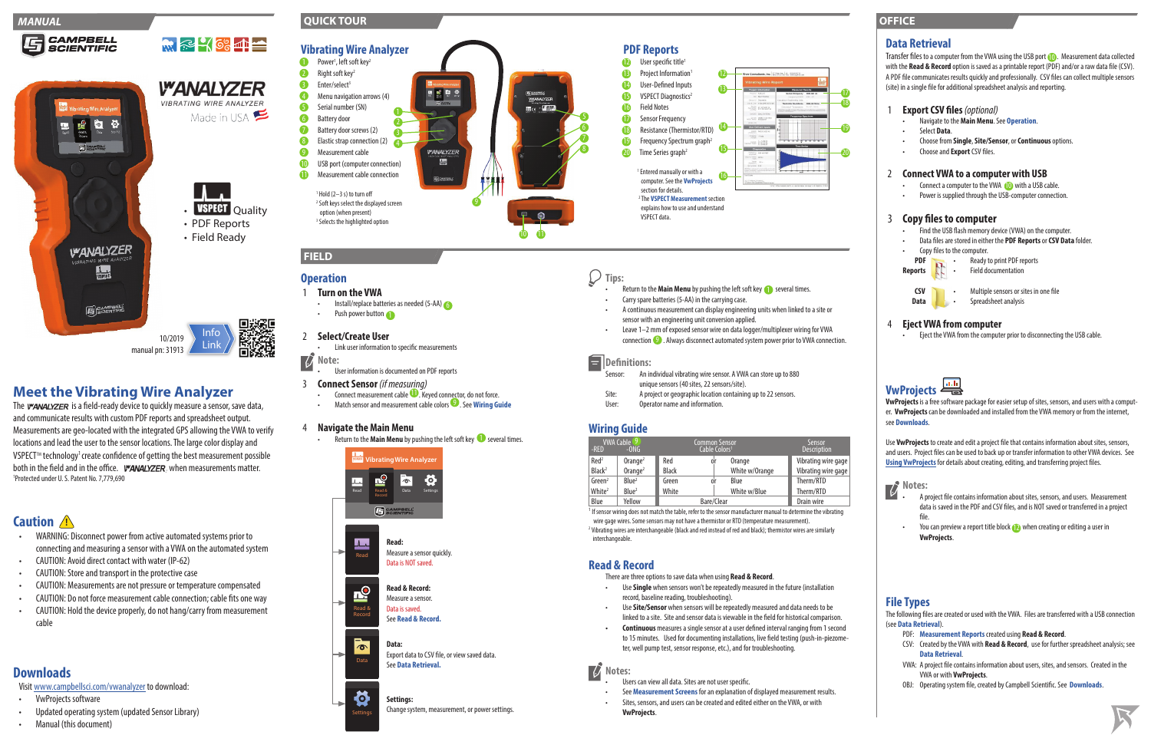# **Tips:**

- Return to the **Main Menu** by pushing the left soft key **the set and the set of the Set A** several times.
- Carry spare batteries (5-AA) in the carrying case.
- A continuous measurement can display engineering units when linked to a site or sensor with an engineering unit conversion applied.
- Leave 1–2 mm of exposed sensor wire on data logger/multiplexer wiring for VWA  $conrection$   $\bullet$  . Always disconnect automated system power prior to VWA connection.

### Ε **Definitions:**

- An individual vibrating wire sensor. A VWA can store up to 880 unique sensors (40 sites, 22 sensors/site).<br>Site: A project or geographic location containir
- A project or geographic location containing up to 22 sensors.
- User: Operator name and information.

<sup>1</sup> If sensor wiring does not match the table, refer to the sensor manufacturer manual to determine the vibrating wire gage wires. Some sensors may not have a thermistor or RTD (temperature measurement). <sup>2</sup> Vibrating wires are interchangeable (black and red instead of red and black); thermistor wires are similarly interchangeable.

# **Wiring Guide**

| VWA Cable <sup>(9)</sup><br>-RED<br>$-0NG$ |                        | Common Sensor<br>Cable Colors <sup>1</sup> |               |                | Sensor<br><b>Description</b> |
|--------------------------------------------|------------------------|--------------------------------------------|---------------|----------------|------------------------------|
| Red <sup>2</sup>                           | $O$ range <sup>2</sup> | Red                                        | <sub>0r</sub> | Orange         | Vibrating wire gage          |
| Black <sup>2</sup>                         | $O$ range <sup>2</sup> | <b>Black</b>                               |               | White w/Orange | Vibrating wire gage          |
| Green <sup>2</sup>                         | Blue <sup>2</sup>      | Green                                      | 0ľ            | Blue           | Therm/RTD                    |
| White <sup>2</sup>                         | Blue <sup>2</sup>      | White                                      |               | White w/Blue   | Therm/RTD                    |
| Blue                                       | Yellow                 | Bare/Clear                                 |               |                | Drain wire                   |

 $\overline{U}$ **Notes:**

- Users can view all data. Sites are not user specific.
- See **Measurement Screens** for an explanation of displayed measurement results.
- Sites, sensors, and users can be created and edited either on the VWA, or with **VwProjects**.

# **Read & Record**

The *WANALYZER* is a field-ready device to quickly measure a sensor, save data, and communicate results with custom PDF reports and spreadsheet output. Measurements are geo-located with the integrated GPS allowing the VWA to verify locations and lead the user to the sensor locations. The large color display and VSPECT<sup>™</sup> technology<sup>1</sup> create confidence of getting the best measurement possible both in the field and in the office. *WANALYZER*, when measurements matter. 1 Protected under U. S. Patent No. 7,779,690

There are three options to save data when using **Read & Record**.

Transfer files to a computer from the VWA using the USB port (D). Measurement data collected with the **Read & Record** option is saved as a printable report (PDF) and/or a raw data file (CSV). A PDF file communicates results quickly and professionally. CSV files can collect multiple sensors (site) in a single file for additional spreadsheet analysis and reporting.

- Use **Single** when sensors won't be repeatedly measured in the future (installation record, baseline reading, troubleshooting).
- Use **Site/Sensor** when sensors will be repeatedly measured and data needs to be linked to a site. Site and sensor data is viewable in the field for historical comparison.
- **• Continuous** measures a single sensor at a user defined interval ranging from 1 second to 15 minutes. Used for documenting installations, live field testing (push-in-piezometer, well pump test, sensor response, etc.), and for troubleshooting.
- Connect a computer to the VWA (O with a USB cable.
- Power is supplied through the USB-computer connection.

# **Meet the Vibrating Wire Analyzer**

### **Data Retrieval**

### 1 **Export CSV files***(optional)*

- Navigate to the **Main Menu**. See **Operation**.
- Select **Data**.
- Choose from **Single**, **Site/Sensor**, or **Continuous** options.
- Choose and **Export** CSV files.

### 2 **Connect VWA to a computer with USB**

- 1 **Turn on the VWA**
- Install/replace batteries as needed (5-AA) • Push power button

### 3 **Copy files to computer**

- User information is documented on PDF reports
- 3 **Connect Sensor** *(if measuring)*
	- **•** Connect measurement cable  $\blacksquare$ . Keyed connector, do not force.
	- Match sensor and measurement cable colors<sup>9</sup>. See Wiring Guide
- Find the USB flash memory device (VWA) on the computer.
- Data files are stored in either the **PDF Reports** or **CSV Data** folder.
- Copy files to the computer.





### 4 **Eject VWA from computer**

• Eject the VWA from the computer prior to disconnecting the USB cable.



**VwProjects** is a free software package for easier setup of sites, sensors, and users with a computer. **VwProjects** can be downloaded and installed from the VWA memory or from the internet, see **Downloads**.

Use **VwProjects** to create and edit a project file that contains information about sites, sensors, and users. Project files can be used to back up or transfer information to other VWA devices. See **[Using VwProjects](#page-1-0)** for details about creating, editing, and transferring project files.



- A project file contains information about sites, sensors, and users. Measurement data is saved in the PDF and CSV files, and is NOT saved or transferred in a project file.
- You can preview a report title block **the summan creating or editing a user in VwProjects**.

## **File Types**

The following files are created or used with the VWA. Files are transferred with a USB connection (see **Data Retrieval**).

- PDF: **Measurement Reports** created using **Read & Record**.
- CSV: Created by the VWA with **Read & Record**, use for further spreadsheet analysis; see **Data Retrieval**.
- VWA: A project file contains information about users, sites, and sensors. Created in the VWA or with **VwProjects**.
- OBJ: Operating system file, created by Campbell Scientific. See **Downloads**.





**CAMPBELL** 

# **Caution !**

- WARNING: Disconnect power from active automated systems prior to connecting and measuring a sensor with a VWA on the automated system
- CAUTION: Avoid direct contact with water (IP-62)
- CAUTION: Store and transport in the protective case
- CAUTION: Measurements are not pressure or temperature compensated
- CAUTION: Do not force measurement cable connection; cable fits one way
- CAUTION: Hold the device properly, do not hang/carry from measurement cable

# **Downloads**

Visit [www.campbellsci.com/vwanalyzer](http://www.campbellsci.com/vwanalyzer) to download:

- VwProjects software
- Updated operating system (updated Sensor Library)
- Manual (this document)

# **FIELD**

### **QUICK TOUR**



10 O

### **OFFICE**





# **Operation**

### 2 **Select/Create User**

• Link user information to specific measurements

# **Note:**

### 4 **Navigate the Main Menu**

• Return to the **Main Menu** by pushing the left soft key **O** several times.

### Change system, measurement, or power settings.



Settings